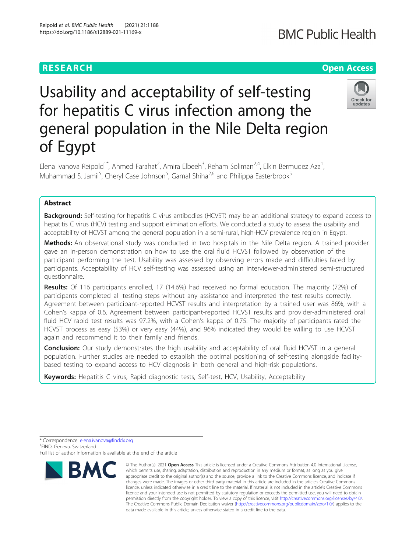## **RESEARCH CHE Open Access**

# Usability and acceptability of self-testing for hepatitis C virus infection among the general population in the Nile Delta region of Egypt



Elena Ivanova Reipold<sup>1\*</sup>, Ahmed Farahat<sup>2</sup>, Amira Elbeeh<sup>3</sup>, Reham Soliman<sup>2,4</sup>, Elkin Bermudez Aza<sup>1</sup> , Muhammad S. Jamil<sup>5</sup>, Cheryl Case Johnson<sup>5</sup>, Gamal Shiha<sup>2,6</sup> and Philippa Easterbrook<sup>5</sup>

### Abstract

**Background:** Self-testing for hepatitis C virus antibodies (HCVST) may be an additional strategy to expand access to hepatitis C virus (HCV) testing and support elimination efforts. We conducted a study to assess the usability and acceptability of HCVST among the general population in a semi-rural, high-HCV prevalence region in Egypt.

Methods: An observational study was conducted in two hospitals in the Nile Delta region. A trained provider gave an in-person demonstration on how to use the oral fluid HCVST followed by observation of the participant performing the test. Usability was assessed by observing errors made and difficulties faced by participants. Acceptability of HCV self-testing was assessed using an interviewer-administered semi-structured questionnaire.

Results: Of 116 participants enrolled, 17 (14.6%) had received no formal education. The majority (72%) of participants completed all testing steps without any assistance and interpreted the test results correctly. Agreement between participant-reported HCVST results and interpretation by a trained user was 86%, with a Cohen's kappa of 0.6. Agreement between participant-reported HCVST results and provider-administered oral fluid HCV rapid test results was 97.2%, with a Cohen's kappa of 0.75. The majority of participants rated the HCVST process as easy (53%) or very easy (44%), and 96% indicated they would be willing to use HCVST again and recommend it to their family and friends.

**Conclusion:** Our study demonstrates the high usability and acceptability of oral fluid HCVST in a general population. Further studies are needed to establish the optimal positioning of self-testing alongside facilitybased testing to expand access to HCV diagnosis in both general and high-risk populations.

Keywords: Hepatitis C virus, Rapid diagnostic tests, Self-test, HCV, Usability, Acceptability

<sup>\*</sup> Correspondence: [elena.ivanova@finddx.org](mailto:elena.ivanova@finddx.org) <sup>1</sup> <sup>1</sup> FIND. Geneva, Switzerland Full list of author information is available at the end of the article



<sup>©</sup> The Author(s), 2021 **Open Access** This article is licensed under a Creative Commons Attribution 4.0 International License, which permits use, sharing, adaptation, distribution and reproduction in any medium or format, as long as you give appropriate credit to the original author(s) and the source, provide a link to the Creative Commons licence, and indicate if changes were made. The images or other third party material in this article are included in the article's Creative Commons licence, unless indicated otherwise in a credit line to the material. If material is not included in the article's Creative Commons licence and your intended use is not permitted by statutory regulation or exceeds the permitted use, you will need to obtain permission directly from the copyright holder. To view a copy of this licence, visit [http://creativecommons.org/licenses/by/4.0/.](http://creativecommons.org/licenses/by/4.0/) The Creative Commons Public Domain Dedication waiver [\(http://creativecommons.org/publicdomain/zero/1.0/](http://creativecommons.org/publicdomain/zero/1.0/)) applies to the data made available in this article, unless otherwise stated in a credit line to the data.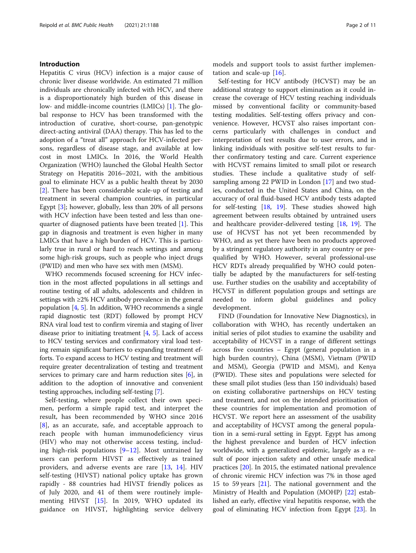#### Introduction

Hepatitis C virus (HCV) infection is a major cause of chronic liver disease worldwide. An estimated 71 million individuals are chronically infected with HCV, and there is a disproportionately high burden of this disease in low- and middle-income countries (LMICs) [\[1](#page-9-0)]. The global response to HCV has been transformed with the introduction of curative, short-course, pan-genotypic direct-acting antiviral (DAA) therapy. This has led to the adoption of a "treat all" approach for HCV-infected persons, regardless of disease stage, and available at low cost in most LMICs. In 2016, the World Health Organization (WHO) launched the Global Health Sector Strategy on Hepatitis 2016–2021, with the ambitious goal to eliminate HCV as a public health threat by 2030 [[2\]](#page-9-0). There has been considerable scale-up of testing and treatment in several champion countries, in particular Egypt [\[3\]](#page-9-0); however, globally, less than 20% of all persons with HCV infection have been tested and less than onequarter of diagnosed patients have been treated [[1\]](#page-9-0). This gap in diagnosis and treatment is even higher in many LMICs that have a high burden of HCV. This is particularly true in rural or hard to reach settings and among some high-risk groups, such as people who inject drugs (PWID) and men who have sex with men (MSM).

WHO recommends focused screening for HCV infection in the most affected populations in all settings and routine testing of all adults, adolescents and children in settings with ≥2% HCV antibody prevalence in the general population [[4,](#page-9-0) [5](#page-9-0)]. In addition, WHO recommends a single rapid diagnostic test (RDT) followed by prompt HCV RNA viral load test to confirm viremia and staging of liver disease prior to initiating treatment [\[4,](#page-9-0) [5](#page-9-0)]. Lack of access to HCV testing services and confirmatory viral load testing remain significant barriers to expanding treatment efforts. To expand access to HCV testing and treatment will require greater decentralization of testing and treatment services to primary care and harm reduction sites [[6\]](#page-9-0), in addition to the adoption of innovative and convenient testing approaches, including self-testing [[7](#page-9-0)].

Self-testing, where people collect their own specimen, perform a simple rapid test, and interpret the result, has been recommended by WHO since 2016 [[8\]](#page-9-0), as an accurate, safe, and acceptable approach to reach people with human immunodeficiency virus (HIV) who may not otherwise access testing, including high-risk populations  $[9-12]$  $[9-12]$  $[9-12]$  $[9-12]$ . Most untrained lay users can perform HIVST as effectively as trained providers, and adverse events are rare [[13,](#page-9-0) [14](#page-9-0)]. HIV self-testing (HIVST) national policy uptake has grown rapidly - 88 countries had HIVST friendly polices as of July 2020, and 41 of them were routinely implementing HIVST [[15\]](#page-9-0). In 2019, WHO updated its guidance on HIVST, highlighting service delivery models and support tools to assist further implementation and scale-up [[16\]](#page-9-0).

Self-testing for HCV antibody (HCVST) may be an additional strategy to support elimination as it could increase the coverage of HCV testing reaching individuals missed by conventional facility or community-based testing modalities. Self-testing offers privacy and convenience. However, HCVST also raises important concerns particularly with challenges in conduct and interpretation of test results due to user errors, and in linking individuals with positive self-test results to further confirmatory testing and care. Current experience with HCVST remains limited to small pilot or research studies. These include a qualitative study of selfsampling among 22 PWID in London [[17](#page-9-0)] and two studies, conducted in the United States and China, on the accuracy of oral fluid-based HCV antibody tests adapted for self-testing [\[18,](#page-9-0) [19\]](#page-9-0). These studies showed high agreement between results obtained by untrained users and healthcare provider-delivered testing [[18,](#page-9-0) [19](#page-9-0)]. The use of HCVST has not yet been recommended by WHO, and as yet there have been no products approved by a stringent regulatory authority in any country or prequalified by WHO. However, several professional-use HCV RDTs already prequalified by WHO could potentially be adapted by the manufacturers for self-testing use. Further studies on the usability and acceptability of HCVST in different population groups and settings are needed to inform global guidelines and policy development.

FIND (Foundation for Innovative New Diagnostics), in collaboration with WHO, has recently undertaken an initial series of pilot studies to examine the usability and acceptability of HCVST in a range of different settings across five countries – Egypt (general population in a high burden country), China (MSM), Vietnam (PWID and MSM), Georgia (PWID and MSM), and Kenya (PWID). These sites and populations were selected for these small pilot studies (less than 150 individuals) based on existing collaborative partnerships on HCV testing and treatment, and not on the intended prioritisation of these countries for implementation and promotion of HCVST. We report here an assessment of the usability and acceptability of HCVST among the general population in a semi-rural setting in Egypt. Egypt has among the highest prevalence and burden of HCV infection worldwide, with a generalized epidemic, largely as a result of poor injection safety and other unsafe medical practices [[20\]](#page-9-0). In 2015, the estimated national prevalence of chronic viremic HCV infection was 7% in those aged 15 to 59 years [[21\]](#page-9-0). The national government and the Ministry of Health and Population (MOHP) [\[22](#page-9-0)] established an early, effective viral hepatitis response, with the goal of eliminating HCV infection from Egypt [\[23\]](#page-9-0). In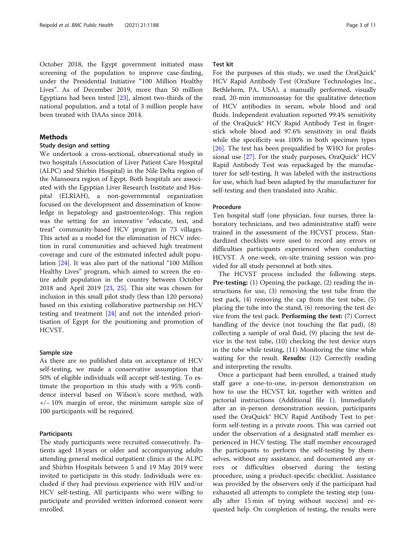October 2018, the Egypt government initiated mass screening of the population to improve case-finding, under the Presidential Initiative "100 Million Healthy Lives". As of December 2019, more than 50 million Egyptians had been tested [\[23\]](#page-9-0), almost two-thirds of the national population, and a total of 3 million people have been treated with DAAs since 2014.

#### **Methods**

#### Study design and setting

We undertook a cross-sectional, observational study in two hospitals (Association of Liver Patient Care Hospital (ALPC) and Shirbin Hospital) in the Nile Delta region of the Mansoura region of Egypt. Both hospitals are associated with the Egyptian Liver Research Institute and Hospital (ELRIAH), a non-governmental organization focused on the development and dissemination of knowledge in hepatology and gastroenterology. This region was the setting for an innovative "educate, test, and treat" community-based HCV program in 73 villages. This acted as a model for the elimination of HCV infection in rural communities and achieved high treatment coverage and cure of the estimated infected adult population [[24\]](#page-9-0). It was also part of the national "100 Million Healthy Lives" program, which aimed to screen the entire adult population in the country between October 2018 and April 2019 [[23](#page-9-0), [25](#page-9-0)]. This site was chosen for inclusion in this small pilot study (less than 120 persons) based on this existing collaborative partnership on HCV testing and treatment [[24\]](#page-9-0) and not the intended prioritisation of Egypt for the positioning and promotion of HCVST.

#### Sample size

As there are no published data on acceptance of HCV self-testing, we made a conservative assumption that 50% of eligible individuals will accept self-testing. To estimate the proportion in this study with a 95% confidence interval based on Wilson's score method, with +/− 10% margin of error, the minimum sample size of 100 participants will be required.

#### Participants

The study participants were recruited consecutively. Patients aged 18 years or older and accompanying adults attending general medical outpatient clinics at the ALPC and Shirbin Hospitals between 5 and 19 May 2019 were invited to participate in this study. Individuals were excluded if they had previous experience with HIV and/or HCV self-testing. All participants who were willing to participate and provided written informed consent were enrolled.

#### Test kit

For the purposes of this study, we used the OraQuick® HCV Rapid Antibody Test (OraSure Technologies Inc., Bethlehem, PA, USA), a manually performed, visually read, 20-min immunoassay for the qualitative detection of HCV antibodies in serum, whole blood and oral fluids. Independent evaluation reported 99.4% sensitivity of the OraQuick® HCV Rapid Antibody Test in fingerstick whole blood and 97.6% sensitivity in oral fluids while the specificity was 100% in both specimen types [[26\]](#page-9-0). The test has been prequalified by WHO for professional use  $[27]$  $[27]$ . For the study purposes, OraQuick® HCV Rapid Antibody Test was repackaged by the manufacturer for self-testing. It was labeled with the instructions for use, which had been adapted by the manufacturer for self-testing and then translated into Arabic.

#### Procedure

Ten hospital staff (one physician, four nurses, three laboratory technicians, and two administrative staff) were trained in the assessment of the HCVST process. Standardized checklists were used to record any errors or difficulties participants experienced when conducting HCVST. A one-week, on-site training session was provided for all study personnel at both sites.

The HCVST process included the following steps. Pre-testing: (1) Opening the package, (2) reading the instructions for use, (3) removing the test tube from the test pack, (4) removing the cap from the test tube, (5) placing the tube into the stand, (6) removing the test device from the test pack. Performing the test: (7) Correct handling of the device (not touching the flat pad), (8) collecting a sample of oral fluid, (9) placing the test device in the test tube, (10) checking the test device stays in the tube while testing, (11) Monitoring the time while waiting for the result. Results: (12) Correctly reading and interpreting the results.

Once a participant had been enrolled, a trained study staff gave a one-to-one, in-person demonstration on how to use the HCVST kit, together with written and pictorial instructions (Additional file [1](#page-8-0)). Immediately after an in-person demonstration session, participants used the OraQuick® HCV Rapid Antibody Test to perform self-testing in a private room. This was carried out under the observation of a designated staff member experienced in HCV testing. The staff member encouraged the participants to perform the self-testing by themselves, without any assistance, and documented any errors or difficulties observed during the testing procedure, using a product-specific checklist. Assistance was provided by the observers only if the participant had exhausted all attempts to complete the testing step (usually after 15 min of trying without success) and requested help. On completion of testing, the results were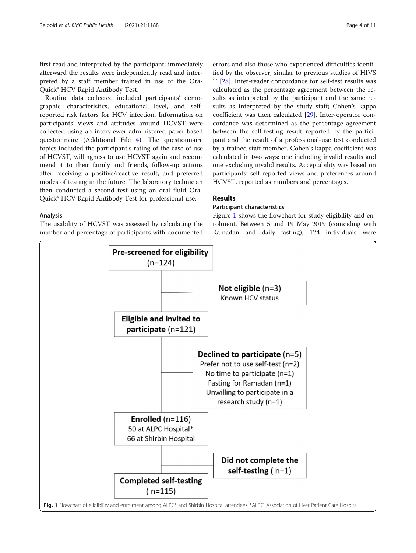first read and interpreted by the participant; immediately afterward the results were independently read and interpreted by a staff member trained in use of the Ora-Quick® HCV Rapid Antibody Test.

Routine data collected included participants' demographic characteristics, educational level, and selfreported risk factors for HCV infection. Information on participants' views and attitudes around HCVST were collected using an interviewer-administered paper-based questionnaire (Additional File [4](#page-8-0)). The questionnaire topics included the participant's rating of the ease of use of HCVST, willingness to use HCVST again and recommend it to their family and friends, follow-up actions after receiving a positive/reactive result, and preferred modes of testing in the future. The laboratory technician then conducted a second test using an oral fluid Ora-Quick® HCV Rapid Antibody Test for professional use.

#### Analysis

The usability of HCVST was assessed by calculating the number and percentage of participants with documented errors and also those who experienced difficulties identified by the observer, similar to previous studies of HIVS T [[28\]](#page-9-0). Inter-reader concordance for self-test results was calculated as the percentage agreement between the results as interpreted by the participant and the same results as interpreted by the study staff; Cohen's kappa coefficient was then calculated [\[29\]](#page-9-0). Inter-operator concordance was determined as the percentage agreement between the self-testing result reported by the participant and the result of a professional-use test conducted by a trained staff member. Cohen's kappa coefficient was calculated in two ways: one including invalid results and one excluding invalid results. Acceptability was based on participants' self-reported views and preferences around HCVST, reported as numbers and percentages.

#### Results

#### Participant characteristics

Figure 1 shows the flowchart for study eligibility and enrolment. Between 5 and 19 May 2019 (coinciding with Ramadan and daily fasting), 124 individuals were

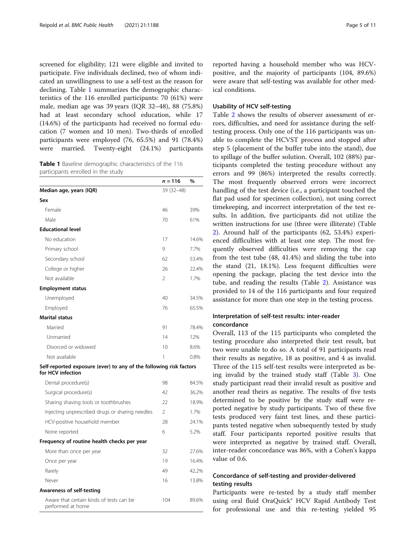screened for eligibility; 121 were eligible and invited to participate. Five individuals declined, two of whom indicated an unwillingness to use a self-test as the reason for declining. Table 1 summarizes the demographic characteristics of the 116 enrolled participants: 70 (61%) were male, median age was 39 years (IQR 32–48), 88 (75.8%) had at least secondary school education, while 17 (14.6%) of the participants had received no formal education (7 women and 10 men). Two-thirds of enrolled participants were employed (76, 65.5%) and 91 (78.4%) were married. Twenty-eight (24.1%) participants

Table 1 Baseline demographic characteristics of the 116 participants enrolled in the study

|                                                                                         | $n = 116$      | %     |
|-----------------------------------------------------------------------------------------|----------------|-------|
| Median age, years (IQR)                                                                 | 39 (32-48)     |       |
| Sex                                                                                     |                |       |
| Female                                                                                  | 46             | 39%   |
| Male                                                                                    | 70             | 61%   |
| <b>Educational level</b>                                                                |                |       |
| No education                                                                            | 17             | 14.6% |
| Primary school                                                                          | 9              | 7.7%  |
| Secondary school                                                                        | 62             | 53.4% |
| College or higher                                                                       | 26             | 22.4% |
| Not available                                                                           | 2              | 1.7%  |
| <b>Employment status</b>                                                                |                |       |
| Unemployed                                                                              | 40             | 34.5% |
| Employed                                                                                | 76             | 65.5% |
| <b>Marital status</b>                                                                   |                |       |
| Married                                                                                 | 91             | 78.4% |
| Unmarried                                                                               | 14             | 12%   |
| Divorced or widowed                                                                     | 10             | 8.6%  |
| Not available                                                                           | 1              | 0.8%  |
| Self-reported exposure (ever) to any of the following risk factors<br>for HCV infection |                |       |
| Dental procedure(s)                                                                     | 98             | 84.5% |
| Surgical procedure(s)                                                                   | 42             | 36.2% |
| Sharing shaving tools or toothbrushes                                                   | 22             | 18.9% |
| Injecting unprescribed drugs or sharing needles                                         | $\overline{2}$ | 1.7%  |
| HCV-positive household member                                                           | 28             | 24.1% |
| None reported                                                                           | 6              | 5.2%  |
| Frequency of routine health checks per year                                             |                |       |
| More than once per year                                                                 | 32             | 27.6% |
| Once per year                                                                           | 19             | 16.4% |
| Rarely                                                                                  | 49             | 42.2% |
| Never                                                                                   | 16             | 13.8% |
| <b>Awareness of self-testing</b>                                                        |                |       |
| Aware that certain kinds of tests can be<br>performed at home                           | 104            | 89.6% |

reported having a household member who was HCVpositive, and the majority of participants (104, 89.6%) were aware that self-testing was available for other medical conditions.

#### Usability of HCV self-testing

Table [2](#page-5-0) shows the results of observer assessment of errors, difficulties, and need for assistance during the selftesting process. Only one of the 116 participants was unable to complete the HCVST process and stopped after step 5 (placement of the buffer tube into the stand), due to spillage of the buffer solution. Overall, 102 (88%) participants completed the testing procedure without any errors and 99 (86%) interpreted the results correctly. The most frequently observed errors were incorrect handling of the test device (i.e., a participant touched the flat pad used for specimen collection), not using correct timekeeping, and incorrect interpretation of the test results. In addition, five participants did not utilize the written instructions for use (three were illiterate) (Table [2\)](#page-5-0). Around half of the participants (62, 53.4%) experienced difficulties with at least one step. The most frequently observed difficulties were removing the cap from the test tube (48, 41.4%) and sliding the tube into the stand (21, 18.1%). Less frequent difficulties were opening the package, placing the test device into the tube, and reading the results (Table [2\)](#page-5-0). Assistance was provided to 14 of the 116 participants and four required assistance for more than one step in the testing process.

#### Interpretation of self-test results: inter-reader concordance

Overall, 113 of the 115 participants who completed the testing procedure also interpreted their test result, but two were unable to do so. A total of 91 participants read their results as negative, 18 as positive, and 4 as invalid. Three of the 115 self-test results were interpreted as being invalid by the trained study staff (Table [3](#page-6-0)). One study participant read their invalid result as positive and another read theirs as negative. The results of five tests determined to be positive by the study staff were reported negative by study participants. Two of these five tests produced very faint test lines, and these participants tested negative when subsequently tested by study staff. Four participants reported positive results that were interpreted as negative by trained staff. Overall, inter-reader concordance was 86%, with a Cohen's kappa value of 0.6.

#### Concordance of self-testing and provider-delivered testing results

Participants were re-tested by a study staff member using oral fluid OraQuick® HCV Rapid Antibody Test for professional use and this re-testing yielded 95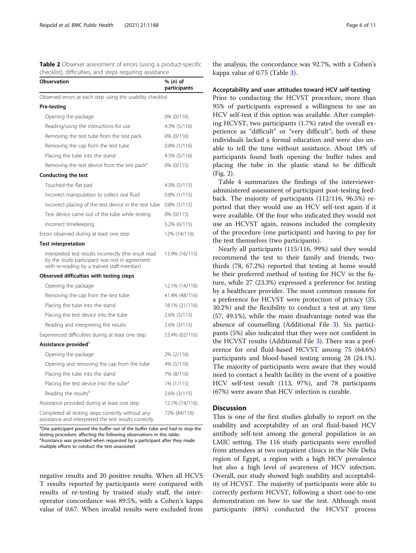<span id="page-5-0"></span>

| Table 2 Observer assessment of errors (using a product-specific |  |  |  |
|-----------------------------------------------------------------|--|--|--|
| checklist), difficulties, and steps requiring assistance        |  |  |  |

| <b>Observation</b>                                                                                                                                   | % (n) of<br>participants |
|------------------------------------------------------------------------------------------------------------------------------------------------------|--------------------------|
| Observed errors at each step using the usability checklist                                                                                           |                          |
| Pre-testing                                                                                                                                          |                          |
| Opening the package                                                                                                                                  | 0% (0/116)               |
| Reading/using the instructions for use                                                                                                               | 4.3% (5/116)             |
| Removing the test tube from the test pack                                                                                                            | 0% (0/116)               |
| Removing the cap from the test tube                                                                                                                  | 0.8% (1/116)             |
| Placing the tube into the stand                                                                                                                      | 4.3% (5/116)             |
| Removing the test device from the test pack <sup>a</sup>                                                                                             | 0% (0/115)               |
| <b>Conducting the test</b>                                                                                                                           |                          |
| Touched the flat pad                                                                                                                                 | 4.3% (5/115)             |
| Incorrect manipulation to collect oral fluid                                                                                                         | $0.8\%$ (1/115)          |
| Incorrect placing of the test device in the test tube                                                                                                | $0.8\%$ (1/115)          |
| Test device came out of the tube while testing                                                                                                       | 0% (0/115)               |
| Incorrect timekeeping                                                                                                                                | 5.2% (6/115)             |
| Errors observed during at least one step                                                                                                             | 12% (14/116)             |
| <b>Test interpretation</b>                                                                                                                           |                          |
| Interpreted test results incorrectly (the result read<br>by the study participant was not in agreement<br>with re-reading by a trained staff member) | 13.9% (16/115)           |
| Observed difficulties with testing steps                                                                                                             |                          |
| Opening the package                                                                                                                                  | 12.1% (14/116)           |
| Removing the cap from the test tube                                                                                                                  | 41.4% (48/116)           |
| Placing the tube into the stand                                                                                                                      | 18.1% (21/116)           |
| Placing the test device into the tube                                                                                                                | 2.6% (3/115)             |
| Reading and interpreting the results                                                                                                                 | 2.6% (3/115)             |
| Experienced difficulties during at least one step                                                                                                    | 53.4% (62/116)           |
| Assistance provided <sup>b</sup>                                                                                                                     |                          |
| Opening the package                                                                                                                                  | 2% (2/116)               |
| Opening and removing the cap from the tube                                                                                                           | 4% (5/116)               |
| Placing the tube into the stand                                                                                                                      | 7% (8/116)               |
| Placing the test device into the tube <sup>a</sup>                                                                                                   | 1% (1/115)               |
| Reading the results <sup>a</sup>                                                                                                                     | 2.6% (3/115)             |
| Assistance provided during at least one step                                                                                                         | 12.1% (14/116)           |
| Completed all testing steps correctly without any<br>assistance and interpreted the test results correctly                                           | 72% (84/116)             |

<sup>a</sup>One participant poured the buffer out of the buffer tube and had to stop the testing procedure, affecting the following observations in this table; <sup>a</sup>Assistance was provided when requested by a participant after they made multiple efforts to conduct the test unassisted

negative results and 20 positive results. When all HCVS T results reported by participants were compared with results of re-testing by trained study staff, the interoperator concordance was 89.5%, with a Cohen's kappa value of 0.67. When invalid results were excluded from the analysis, the concordance was 92.7%, with a Cohen's kappa value of 0.75 (Table [3\)](#page-6-0).

#### Acceptability and user attitudes toward HCV self-testing

Prior to conducting the HCVST procedure, more than 95% of participants expressed a willingness to use an HCV self-test if this option was available. After completing HCVST, two participants (1.7%) rated the overall experience as "difficult" or "very difficult"; both of these individuals lacked a formal education and were also unable to tell the time without assistance. About 18% of participants found both opening the buffer tubes and placing the tube in the plastic stand to be difficult (Fig. [2](#page-6-0)).

Table [4](#page-7-0) summarizes the findings of the intervieweradministered assessment of participant post-testing feedback. The majority of participants (112/116, 96.5%) reported that they would use an HCV self-test again if it were available. Of the four who indicated they would not use an HCVST again, reasons included the complexity of the procedure (one participant) and having to pay for the test themselves (two participants).

Nearly all participants (115/116, 99%) said they would recommend the test to their family and friends, twothirds (78, 67.2%) reported that testing at home would be their preferred method of testing for HCV in the future, while 27 (23.3%) expressed a preference for testing by a healthcare provider. The most common reasons for a preference for HCVST were protection of privacy (35, 30.2%) and the flexibility to conduct a test at any time (57, 49.1%), while the main disadvantage noted was the absence of counselling (Additional File [3](#page-8-0)). Six participants (5%) also indicated that they were not confident in the HCVST results (Additional File [3\)](#page-8-0). There was a preference for oral fluid-based HCVST among 75 (64.6%) participants and blood-based testing among 28 (24.1%). The majority of participants were aware that they would need to contact a health facility in the event of a positive HCV self-test result (113, 97%), and 78 participants (67%) were aware that HCV infection is curable.

#### **Discussion**

This is one of the first studies globally to report on the usability and acceptability of an oral fluid-based HCV antibody self-test among the general population in an LMIC setting. The 116 study participants were enrolled from attendees at two outpatient clinics in the Nile Delta region of Egypt, a region with a high HCV prevalence but also a high level of awareness of HCV infection. Overall, our study showed high usability and acceptability of HCVST. The majority of participants were able to correctly perform HCVST, following a short one-to-one demonstration on how to use the test. Although most participants (88%) conducted the HCVST process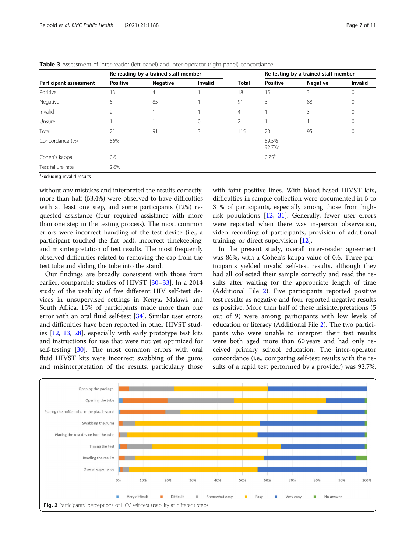|                        | Re-reading by a trained staff member |                 |         |                | Re-testing by a trained staff member |                 |         |
|------------------------|--------------------------------------|-----------------|---------|----------------|--------------------------------------|-----------------|---------|
| Participant assessment | <b>Positive</b>                      | <b>Negative</b> | Invalid | <b>Total</b>   | <b>Positive</b>                      | <b>Negative</b> | Invalid |
| Positive               | 13                                   | $\overline{4}$  |         | 18             | 15                                   | 3               | 0       |
| Negative               |                                      | 85              |         | 91             | 3                                    | 88              | 0       |
| Invalid                |                                      |                 |         | $\overline{4}$ |                                      | 3               | 0       |
| Unsure                 |                                      |                 | 0       | 2              |                                      |                 | 0       |
| Total                  | 21                                   | 91              | 3       | 115            | 20                                   | 95              | 0       |
| Concordance (%)        | 86%                                  |                 |         |                | 89.5%<br>92.7% <sup>a</sup>          |                 |         |
| Cohen's kappa          | 0.6                                  |                 |         |                | $0.75^{\text{a}}$                    |                 |         |
| Test failure rate      | 2.6%                                 |                 |         |                |                                      |                 |         |
| .                      |                                      |                 |         |                |                                      |                 |         |

<span id="page-6-0"></span>Table 3 Assessment of inter-reader (left panel) and inter-operator (right panel) concordance

<sup>a</sup>Excluding invalid results

without any mistakes and interpreted the results correctly, more than half (53.4%) were observed to have difficulties with at least one step, and some participants (12%) requested assistance (four required assistance with more than one step in the testing process). The most common errors were incorrect handling of the test device (i.e., a participant touched the flat pad), incorrect timekeeping, and misinterpretation of test results. The most frequently observed difficulties related to removing the cap from the test tube and sliding the tube into the stand.

Our findings are broadly consistent with those from earlier, comparable studies of HIVST [\[30](#page-9-0)–[33\]](#page-10-0). In a 2014 study of the usability of five different HIV self-test devices in unsupervised settings in Kenya, Malawi, and South Africa, 15% of participants made more than one error with an oral fluid self-test [[34](#page-10-0)]. Similar user errors and difficulties have been reported in other HIVST studies [[12](#page-9-0), [13,](#page-9-0) [28\]](#page-9-0), especially with early prototype test kits and instructions for use that were not yet optimized for self-testing [[30\]](#page-9-0). The most common errors with oral fluid HIVST kits were incorrect swabbing of the gums and misinterpretation of the results, particularly those with faint positive lines. With blood-based HIVST kits, difficulties in sample collection were documented in 5 to 31% of participants, especially among those from highrisk populations [[12,](#page-9-0) [31\]](#page-9-0). Generally, fewer user errors were reported when there was in-person observation, video recording of participants, provision of additional training, or direct supervision [\[12](#page-9-0)].

In the present study, overall inter-reader agreement was 86%, with a Cohen's kappa value of 0.6. Three participants yielded invalid self-test results, although they had all collected their sample correctly and read the results after waiting for the appropriate length of time (Additional File [2](#page-8-0)). Five participants reported positive test results as negative and four reported negative results as positive. More than half of these misinterpretations (5 out of 9) were among participants with low levels of education or literacy (Additional File [2\)](#page-8-0). The two participants who were unable to interpret their test results were both aged more than 60 years and had only received primary school education. The inter-operator concordance (i.e., comparing self-test results with the results of a rapid test performed by a provider) was 92.7%,

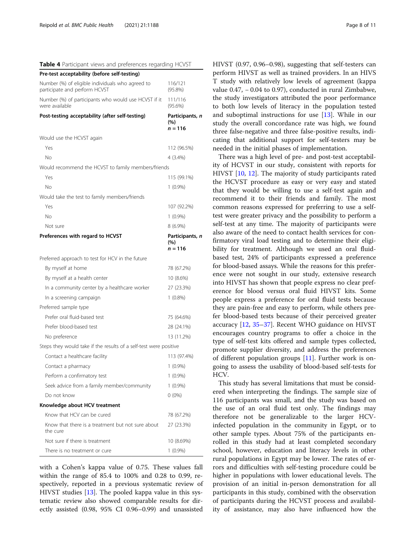<span id="page-7-0"></span>

| Table 4 Participant views and preferences regarding HCVST                         |                                     |
|-----------------------------------------------------------------------------------|-------------------------------------|
| Pre-test acceptability (before self-testing)                                      |                                     |
| Number (%) of eligible individuals who agreed to<br>participate and perform HCVST | 116/121<br>$(95.8\%)$               |
| Number (%) of participants who would use HCVST if it<br>were available            | 111/116<br>$(95.6\%)$               |
| Post-testing acceptability (after self-testing)                                   | Participants, n<br>(%)<br>n = 116   |
| Would use the HCVST again                                                         |                                     |
| Yes                                                                               | 112 (96.5%)                         |
| No                                                                                | 4 (3.4%)                            |
| Would recommend the HCVST to family members/friends                               |                                     |
| Yes                                                                               | 115 (99.1%)                         |
| No                                                                                | $1(0.9\%)$                          |
| Would take the test to family members/friends                                     |                                     |
| Yes                                                                               | 107 (92.2%)                         |
| No                                                                                | $1(0.9\%)$                          |
| Not sure                                                                          | $8(6.9\%)$                          |
| Preferences with regard to HCVST                                                  | Participants, n<br>(%)<br>$n = 116$ |
| Preferred approach to test for HCV in the future                                  |                                     |
| By myself at home                                                                 | 78 (67.2%)                          |
| By myself at a health center                                                      | 10 (8.6%)                           |
| In a community center by a healthcare worker                                      | 27 (23.3%)                          |
| In a screening campaign                                                           | $1(0.8\%)$                          |
| Preferred sample type                                                             |                                     |
| Prefer oral fluid-based test                                                      | 75 (64.6%)                          |
| Prefer blood-based test                                                           | 28 (24.1%)                          |
| No preference                                                                     | 13 (11.2%)                          |
| Steps they would take if the results of a self-test were positive                 |                                     |
| Contact a healthcare facility                                                     | 113 (97.4%)                         |
| Contact a pharmacy                                                                | $1(0.9\%)$                          |
| Perform a confirmatory test                                                       | $1(0.9\%)$                          |
| Seek advice from a family member/community                                        | $1(0.9\%)$                          |
| Do not know                                                                       | $0(0\%)$                            |
| Knowledge about HCV treatment                                                     |                                     |
| Know that HCV can be cured                                                        | 78 (67.2%)                          |
| Know that there is a treatment but not sure about<br>the cure                     | 27 (23.3%)                          |
| Not sure if there is treatment                                                    | 10 (8.69%)                          |
| There is no treatment or cure                                                     | $1(0.9\%)$                          |

with a Cohen's kappa value of 0.75. These values fall within the range of 85.4 to 100% and 0.28 to 0.99, respectively, reported in a previous systematic review of HIVST studies [\[13\]](#page-9-0). The pooled kappa value in this systematic review also showed comparable results for directly assisted (0.98, 95% CI 0.96–0.99) and unassisted HIVST (0.97, 0.96–0.98), suggesting that self-testers can perform HIVST as well as trained providers. In an HIVS T study with relatively low levels of agreement (kappa value 0.47, − 0.04 to 0.97), conducted in rural Zimbabwe, the study investigators attributed the poor performance to both low levels of literacy in the population tested and suboptimal instructions for use [[13](#page-9-0)]. While in our study the overall concordance rate was high, we found three false-negative and three false-positive results, indicating that additional support for self-testers may be needed in the initial phases of implementation.

There was a high level of pre- and post-test acceptability of HCVST in our study, consistent with reports for HIVST [\[10](#page-9-0), [12](#page-9-0)]. The majority of study participants rated the HCVST procedure as easy or very easy and stated that they would be willing to use a self-test again and recommend it to their friends and family. The most common reasons expressed for preferring to use a selftest were greater privacy and the possibility to perform a self-test at any time. The majority of participants were also aware of the need to contact health services for confirmatory viral load testing and to determine their eligibility for treatment. Although we used an oral fluidbased test, 24% of participants expressed a preference for blood-based assays. While the reasons for this preference were not sought in our study, extensive research into HIVST has shown that people express no clear preference for blood versus oral fluid HIVST kits. Some people express a preference for oral fluid tests because they are pain-free and easy to perform, while others prefer blood-based tests because of their perceived greater accuracy [[12](#page-9-0), [35](#page-10-0)–[37](#page-10-0)]. Recent WHO guidance on HIVST encourages country programs to offer a choice in the type of self-test kits offered and sample types collected, promote supplier diversity, and address the preferences of different population groups [\[11\]](#page-9-0). Further work is ongoing to assess the usability of blood-based self-tests for HCV.

This study has several limitations that must be considered when interpreting the findings. The sample size of 116 participants was small, and the study was based on the use of an oral fluid test only. The findings may therefore not be generalizable to the larger HCVinfected population in the community in Egypt, or to other sample types. About 75% of the participants enrolled in this study had at least completed secondary school, however, education and literacy levels in other rural populations in Egypt may be lower. The rates of errors and difficulties with self-testing procedure could be higher in populations with lower educational levels. The provision of an initial in-person demonstration for all participants in this study, combined with the observation of participants during the HCVST process and availability of assistance, may also have influenced how the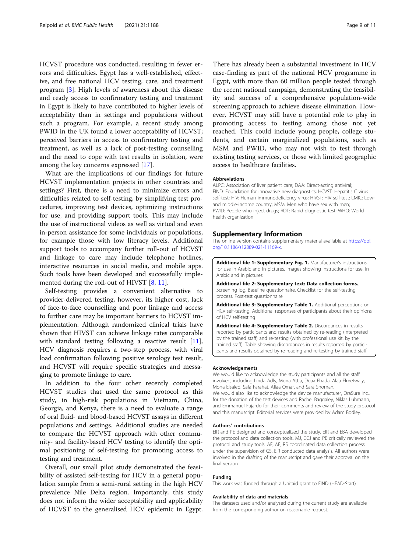<span id="page-8-0"></span>HCVST procedure was conducted, resulting in fewer errors and difficulties. Egypt has a well-established, effective, and free national HCV testing, care, and treatment program [\[3](#page-9-0)]. High levels of awareness about this disease and ready access to confirmatory testing and treatment in Egypt is likely to have contributed to higher levels of acceptability than in settings and populations without such a program. For example, a recent study among PWID in the UK found a lower acceptability of HCVST; perceived barriers in access to confirmatory testing and treatment, as well as a lack of post-testing counselling and the need to cope with test results in isolation, were among the key concerns expressed [\[17](#page-9-0)].

What are the implications of our findings for future HCVST implementation projects in other countries and settings? First, there is a need to minimize errors and difficulties related to self-testing, by simplifying test procedures, improving test devices, optimizing instructions for use, and providing support tools. This may include the use of instructional videos as well as virtual and even in-person assistance for some individuals or populations, for example those with low literacy levels. Additional support tools to accompany further roll-out of HCVST and linkage to care may include telephone hotlines, interactive resources in social media, and mobile apps. Such tools have been developed and successfully imple-mented during the roll-out of HIVST [\[8](#page-9-0), [11](#page-9-0)].

Self-testing provides a convenient alternative to provider-delivered testing, however, its higher cost, lack of face-to-face counselling and poor linkage and access to further care may be important barriers to HCVST implementation. Although randomized clinical trials have shown that HIVST can achieve linkage rates comparable with standard testing following a reactive result [\[11](#page-9-0)], HCV diagnosis requires a two-step process, with viral load confirmation following positive serology test result, and HCVST will require specific strategies and messaging to promote linkage to care.

In addition to the four other recently completed HCVST studies that used the same protocol as this study, in high-risk populations in Vietnam, China, Georgia, and Kenya, there is a need to evaluate a range of oral fluid- and blood-based HCVST assays in different populations and settings. Additional studies are needed to compare the HCVST approach with other community- and facility-based HCV testing to identify the optimal positioning of self-testing for promoting access to testing and treatment.

Overall, our small pilot study demonstrated the feasibility of assisted self-testing for HCV in a general population sample from a semi-rural setting in the high HCV prevalence Nile Delta region. Importantly, this study does not inform the wider acceptability and applicability of HCVST to the generalised HCV epidemic in Egypt.

There has already been a substantial investment in HCV case-finding as part of the national HCV programme in Egypt, with more than 60 million people tested through the recent national campaign, demonstrating the feasibility and success of a comprehensive population-wide screening approach to achieve disease elimination. However, HCVST may still have a potential role to play in promoting access to testing among those not yet reached. This could include young people, college students, and certain marginalized populations, such as MSM and PWID, who may not wish to test through existing testing services, or those with limited geographic access to healthcare facilities.

#### Abbreviations

ALPC: Association of liver patient care; DAA: Direct-acting antiviral; FIND: Foundation for innovative new diagnostics; HCVST: Hepatitis C virus self-test; HIV: Human immunodeficiency virus; HIVST: HIV self-test; LMIC: Lowand middle-income country; MSM: Men who have sex with men; PWID: People who inject drugs; RDT: Rapid diagnostic test; WHO: World health organization

#### Supplementary Information

The online version contains supplementary material available at [https://doi.](https://doi.org/10.1186/s12889-021-11169-x) [org/10.1186/s12889-021-11169-x](https://doi.org/10.1186/s12889-021-11169-x).

Additional file 1: Supplementary Fig. 1. Manufacturer's instructions for use in Arabic and in pictures. Images showing instructions for use, in Arabic and in pictures.

Additional file 2: Supplementary text: Data collection forms.. Screening log. Baseline questionnaire. Checklist for the self-testing process. Post-test questionnaire

Additional file 3: Supplementary Table 1. Additional perceptions on HCV self-testing. Additional responses of participants about their opinions of HCV self-testing

Additional file 4: Supplementary Table 2. Discordances in results reported by participants and results obtained by re-reading (interpreted by the trained staff) and re-testing (with professional use kit, by the trained staff). Table showing discordances in results reported by participants and results obtained by re-reading and re-testing by trained staff.

#### Acknowledgements

We would like to acknowledge the study participants and all the staff involved, including Linda Adly, Mona Attia, Doaa Ebada, Alaa Elmetwaly, Mona Elsaied, Safa Farahat, Aliaa Omar, and Sara Shoman. We would also like to acknowledge the device manufacturer, OraSure Inc., for the donation of the test devices and Rachel Baggaley, Niklas Luhmann, and Emmanuel Fajardo for their comments and review of the study protocol and this manuscript. Editorial services were provided by Adam Bodley.

#### Authors' contributions

EIR and PE designed and conceptualized the study. EIR and EBA developed the protocol and data collection tools. MJ, CCJ and PE critically reviewed the protocol and study tools. AF, AE, RS coordinated data collection process under the supervision of GS. EIR conducted data analysis. All authors were involved in the drafting of the manuscript and gave their approval on the final version.

#### Funding

This work was funded through a Unitaid grant to FIND (HEAD-Start).

#### Availability of data and materials

The datasets used and/or analysed during the current study are available from the corresponding author on reasonable request.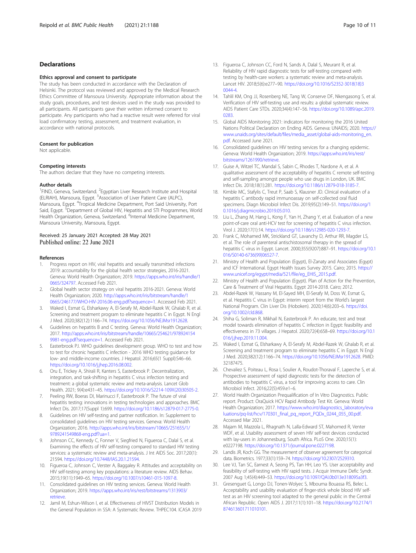#### <span id="page-9-0"></span>Declarations

#### Ethics approval and consent to participate

The study has been conducted in accordance with the Declaration of Helsinki. The protocol was reviewed and approved by the Medical Research Ethics Committee of Mansoura University. Appropriate information about the study goals, procedures, and test devices used in the study was provided to all participants. All participants gave their written informed consent to participate. Any participants who had a reactive result were referred for viral load confirmatory testing, assessment, and treatment evaluation, in accordance with national protocols.

#### Consent for publication

Not applicable.

#### Competing interests

The authors declare that they have no competing interests.

#### Author details

<sup>1</sup> FIND, Geneva, Switzerland. <sup>2</sup> Egyptian Liver Research Institute and Hospital (ELRIAH), Mansoura, Egypt. <sup>3</sup>Association of Liver Patient Care (ALPC), Mansoura, Egypt. <sup>4</sup>Tropical Medicine Department, Port Said University, Port Said, Egypt. <sup>5</sup>Department of Global HIV, Hepatitis and STI Programmes, World Health Organization, Geneva, Switzerland. <sup>6</sup>Internal Medicine Department, Mansoura University, Mansoura, Egypt.

# Received: 25 January 2021 Accepted: 28 May 2021<br>Published online: 22 June 2021

#### References

- 1. Progress report on HIV, viral hepatitis and sexually transmitted infections 2019: accountability for the global health sector strategies, 2016-2021. Geneva: World Health Organization; 2019. [https://apps.who.int/iris/handle/1](https://apps.who.int/iris/handle/10665/324797) [0665/324797](https://apps.who.int/iris/handle/10665/324797). Accessed Feb 2021.
- 2. Global health sector strategy on viral hepatitis 2016-2021. Geneva: World Health Organization; 2020. [http://apps.who.int/iris/bitstream/handle/1](http://apps.who.int/iris/bitstream/handle/10665/246177/WHO-HIV-2016.06-eng.pdf?sequence=1) [0665/246177/WHO-HIV-2016.06-eng.pdf?sequence=1.](http://apps.who.int/iris/bitstream/handle/10665/246177/WHO-HIV-2016.06-eng.pdf?sequence=1) Accessed Feb 2021.
- 3. Waked I, Esmat G, Elsharkawy A, El-Serafy M, Abdel-Razek W, Ghalab R, et al. Screening and treatment program to eliminate hepatitis C in Egypt. N Engl J Med. 2020;382(12):1166–74. <https://doi.org/10.1056/NEJMsr1912628>.
- 4. Guidelines on hepatitis B and C testing. Geneva: World Health Organization; 2017. [http://apps.who.int/iris/bitstream/handle/10665/254621/978924154](http://apps.who.int/iris/bitstream/handle/10665/254621/9789241549981-eng.pdf?sequence=1) [9981-eng.pdf?sequence=1.](http://apps.who.int/iris/bitstream/handle/10665/254621/9789241549981-eng.pdf?sequence=1) Accessed Feb 2021.
- 5. Easterbrook PJ. WHO guidelines development group. WHO to test and how to test for chronic hepatitis C infection - 2016 WHO testing guidance for low- and middle-income countries. J Hepatol. 2016;65(1 Suppl):S46–66. <https://doi.org/10.1016/j.jhep.2016.08.002>.
- 6. Oru E, Trickey A, Shirali R, Kanters S, Easterbrook P. Decentralization, integration, and task-shifting in hepatitis C virus infection testing and treatment: a global systematic review and meta-analysis. Lancet Glob Health. 2021; 9(4):e431–45. [https://doi.org/10.1016/S2214-109X\(20\)30505-2.](https://doi.org/10.1016/S2214-109X(20)30505-2)
- Peeling RW, Boeras DI, Marinucci F, Easterbrook P. The future of viral hepatitis testing: innovations in testing technologies and approaches. BMC Infect Dis. 2017;17(Suppl 1):699. [https://doi.org/10.1186/s12879-017-2775-0.](https://doi.org/10.1186/s12879-017-2775-0)
- 8. Guidelines on HIV self-testing and partner notification. In: Supplement to consolidated guidelines on HIV testing services. Geneva: World Health Organization; 2016. [http://apps.who.int/iris/bitstream/10665/251655/1/](http://apps.who.int/iris/bitstream/10665/251655/1/9789241549868-eng.pdf?ua=1) [9789241549868-eng.pdf?ua=1](http://apps.who.int/iris/bitstream/10665/251655/1/9789241549868-eng.pdf?ua=1).
- Johnson CC, Kennedy C, Fonner V, Siegfried N, Figueroa C, Dalal S, et al. Examining the effects of HIV self-testing compared to standard HIV testing services: a systematic review and meta-analysis. J Int AIDS Soc. 2017;20(1): 21594. <https://doi.org/10.7448/IAS.20.1.21594>.
- 10. Figueroa C, Johnson C, Verster A, Baggaley R. Attitudes and acceptability on HIV self-testing among key populations: a literature review. AIDS Behav. 2015;19(11):1949–65. [https://doi.org/10.1007/s10461-015-1097-8.](https://doi.org/10.1007/s10461-015-1097-8)
- 11. Consolidated guidelines on HIV testing services. Geneva: World Health Organization; 2019. [https://apps.who.int/iris/rest/bitstreams/1313903/](https://apps.who.int/iris/rest/bitstreams/1313903/retrieve) retrieve
- 12. Jamil M, Eshun-Wilson I, et al. Effectiveness of HIVST Distribution Models in the General Population in SSA: A Systematic Review. THPEC104. ICASA 2019
- 13. Figueroa C, Johnson CC, Ford N, Sands A, Dalal S, Meurant R, et al. Reliability of HIV rapid diagnostic tests for self-testing compared with testing by health-care workers: a systematic review and meta-analysis. Lancet HIV. 2018;5(6):e277–90. [https://doi.org/10.1016/S2352-3018\(18\)3](https://doi.org/10.1016/S2352-3018(18)30044-4)
- 14. Tahlil KM, Ong JJ, Rosenberg NE, Tang W, Conserve DF, Nkengasong S, et al. Verification of HIV self-testing use and results: a global systematic review. AIDS Patient Care STDs. 2020;34(4):147–56. [https://doi.org/10.1089/apc.2019.](https://doi.org/10.1089/apc.2019.0283) [0283](https://doi.org/10.1089/apc.2019.0283).

[0044-4.](https://doi.org/10.1016/S2352-3018(18)30044-4)

- 15. Global AIDS Monitoring 2021: indicators for monitoring the 2016 United Nations Political Declaration on Ending AIDS. Geneva: UNAIDS; 2020. [https://](https://www.unaids.org/sites/default/files/media_asset/global-aids-monitoring_en.pdf) [www.unaids.org/sites/default/files/media\\_asset/global-aids-monitoring\\_en.](https://www.unaids.org/sites/default/files/media_asset/global-aids-monitoring_en.pdf) [pdf](https://www.unaids.org/sites/default/files/media_asset/global-aids-monitoring_en.pdf). Accessed June 2021.
- 16. Consolidated guidelines on HIV testing services for a changing epidemic. Geneva: World Health Organization; 2019. [https://apps.who.int/iris/rest/](https://apps.who.int/iris/rest/bitstreams/1261990/retrieve) [bitstreams/1261990/retrieve](https://apps.who.int/iris/rest/bitstreams/1261990/retrieve).
- 17. Guise A, Witzel TC, Mandal S, Sabin C, Rhodes T, Nardone A, et al. A qualitative assessment of the acceptability of hepatitis C remote self-testing and self-sampling amongst people who use drugs in London, UK. BMC Infect Dis. 2018;18(1):281. [https://doi.org/10.1186/s12879-018-3185-7.](https://doi.org/10.1186/s12879-018-3185-7)
- Kimble MC, Stafylis C, Treut P, Saab S, Klausner JD. Clinical evaluation of a hepatitis C antibody rapid immunoassay on self-collected oral fluid specimens. Diagn Microbiol Infect Dis. 2019;95(2):149–51. [https://doi.org/1](https://doi.org/10.1016/j.diagmicrobio.2019.05.010) [0.1016/j.diagmicrobio.2019.05.010](https://doi.org/10.1016/j.diagmicrobio.2019.05.010).
- 19. Liu L, Zhang M, Hang L, Kong F, Yan H, Zhang Y, et al. Evaluation of a new point-of-care oral anti-HCV test for screening of hepatitis C virus infection. Virol J. 2020;17(1):14. [https://doi.org/10.1186/s12985-020-1293-7.](https://doi.org/10.1186/s12985-020-1293-7)
- 20. Frank C, Mohamed MK, Strickland GT, Lavanchy D, Arthur RR, Magder LS, et al. The role of parenteral antischistosomal therapy in the spread of hepatitis C virus in Egypt. Lancet. 2000;355(9207):887–91. [https://doi.org/10.1](https://doi.org/10.1016/S0140-6736(99)06527-7) [016/S0140-6736\(99\)06527-7](https://doi.org/10.1016/S0140-6736(99)06527-7).
- 21. Ministry of Health and Population (Egypt), El-Zanaty and Associates (Egypt) and ICF International. Egypt Health Issues Survey 2015. Cairo; 2015. [https://](https://www.unicef.org/egypt/media/521/file/eg_EHIS_2015.pdf) [www.unicef.org/egypt/media/521/file/eg\\_EHIS\\_2015.pdf.](https://www.unicef.org/egypt/media/521/file/eg_EHIS_2015.pdf)
- 22. Ministry of Health and Population (Egypt). Plan of Action for the Prevention, Care & Treatment of Viral Hepatitis. Egypt 2014-2018. Cairo; 2012.
- 23. Abdel-Razek W, Hassany M, El-Sayed MH, El-Serafy M, Doss W, Esmat G, et al. Hepatitis C virus in Egypt: interim report from the World's largest National Program. Clin Liver Dis (Hoboken). 2020;14(6):203–6. [https://doi.](https://doi.org/10.1002/cld.868) [org/10.1002/cld.868.](https://doi.org/10.1002/cld.868)
- 24. Shiha G, Soliman R, Mikhail N, Easterbrook P. An educate, test and treat model towards elimination of hepatitis C infection in Egypt: feasibility and effectiveness in 73 villages. J Hepatol. 2020;72(4):658–69. [https://doi.org/10.1](https://doi.org/10.1016/j.jhep.2019.11.004) 016/j.jhep.2019.11.004
- 25. Waked I, Esmat G, Elsharkawy A, El-Serafy M, Abdel-Razek W, Ghalab R, et al. Screening and treatment program to eliminate hepatitis C in Egypt. N Engl J Med. 2020;382(12):1166–74. <https://doi.org/10.1056/NEJMsr1912628>. PMID: 32187475.
- 26. Chevaliez S, Poiteau L, Rosa I, Soulier A, Roudot-Thoraval F, Laperche S, et al. Prospective assessment of rapid diagnostic tests for the detection of antibodies to hepatitis C virus, a tool for improving access to care. Clin Microbiol Infect. 2016;22(5):459.e1–6.
- 27. World Health Organization Prequalification of In Vitro Diagnostics. Public report. Product: OraQuick HCV Rapid Antibody Test Kit. Geneva: World Health Organization; 2017. [https://www.who.int/diagnostics\\_laboratory/eva](https://www.who.int/diagnostics_laboratory/evaluations/pq-list/hcv/170301_final_pq_report_PQDx_0244_055_00.pdf) [luations/pq-list/hcv/170301\\_final\\_pq\\_report\\_PQDx\\_0244\\_055\\_00.pdf.](https://www.who.int/diagnostics_laboratory/evaluations/pq-list/hcv/170301_final_pq_report_PQDx_0244_055_00.pdf) Accessed Mar 2021.
- 28. Majam M, Mazzola L, Rhagnath N, Lalla-Edward ST, Mahomed R, Venter WDF, et al. Usability assessment of seven HIV self-test devices conducted with lay-users in Johannesburg, South Africa. PLoS One. 2020;15(1): e0227198. <https://doi.org/10.1371/journal.pone.0227198>.
- 29. Landis JR, Koch GG. The measurement of observer agreement for categorical data. Biometrics. 1977;33(1):159–74. [https://doi.org/10.2307/2529310.](https://doi.org/10.2307/2529310)
- 30. Lee VJ, Tan SC, Earnest A, Seong PS, Tan HH, Leo YS. User acceptability and feasibility of self-testing with HIV rapid tests. J Acquir Immune Defic Syndr. 2007 Aug 1;45(4):449–53. <https://doi.org/10.1097/QAI.0b013e318095a3f3>.
- 31. Gresenguet G, Longo DJ, Tonen-Wolyec S, Mbouma Bouassa RS, Belec L. Acceptability and usability evaluation of finger-stick whole blood HIV selftest as an HIV screening tool adapted to the general public in the Central African Republic. Open AIDS J. 2017;11(1):101–18. [https://doi.org/10.2174/1](https://doi.org/10.2174/1874613601711010101) [874613601711010101](https://doi.org/10.2174/1874613601711010101).